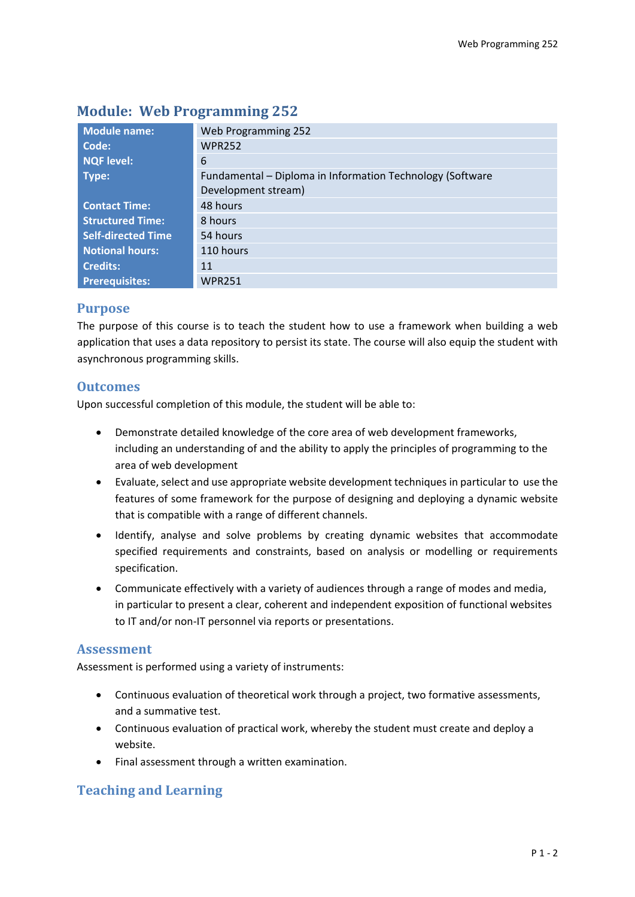| <b>Module name:</b>       | Web Programming 252                                       |  |  |  |
|---------------------------|-----------------------------------------------------------|--|--|--|
| Code:                     | <b>WPR252</b>                                             |  |  |  |
| <b>NQF level:</b>         | 6                                                         |  |  |  |
| Type:                     | Fundamental - Diploma in Information Technology (Software |  |  |  |
|                           | Development stream)                                       |  |  |  |
| <b>Contact Time:</b>      | 48 hours                                                  |  |  |  |
| <b>Structured Time:</b>   | 8 hours                                                   |  |  |  |
| <b>Self-directed Time</b> | 54 hours                                                  |  |  |  |
| <b>Notional hours:</b>    | 110 hours                                                 |  |  |  |
| <b>Credits:</b>           | 11                                                        |  |  |  |
| <b>Prerequisites:</b>     | <b>WPR251</b>                                             |  |  |  |

# **Module: Web Programming 252**

# **Purpose**

The purpose of this course is to teach the student how to use a framework when building a web application that uses a data repository to persist its state. The course will also equip the student with asynchronous programming skills.

# **Outcomes**

Upon successful completion of this module, the student will be able to:

- Demonstrate detailed knowledge of the core area of web development frameworks, including an understanding of and the ability to apply the principles of programming to the area of web development
- Evaluate, select and use appropriate website development techniques in particular to use the features of some framework for the purpose of designing and deploying a dynamic website that is compatible with a range of different channels.
- Identify, analyse and solve problems by creating dynamic websites that accommodate specified requirements and constraints, based on analysis or modelling or requirements specification.
- Communicate effectively with a variety of audiences through a range of modes and media, in particular to present a clear, coherent and independent exposition of functional websites to IT and/or non-IT personnel via reports or presentations.

# **Assessment**

Assessment is performed using a variety of instruments:

- Continuous evaluation of theoretical work through a project, two formative assessments, and a summative test.
- Continuous evaluation of practical work, whereby the student must create and deploy a website.
- Final assessment through a written examination.

# **Teaching and Learning**